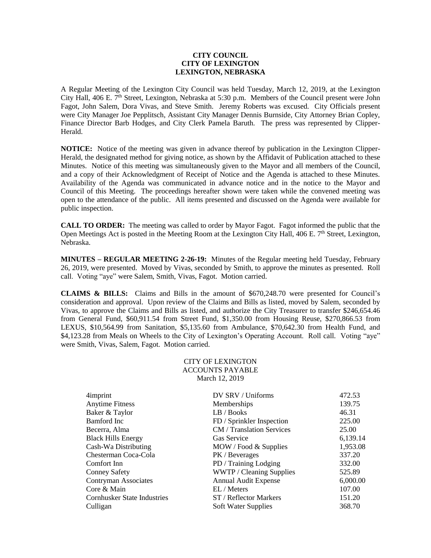## **CITY COUNCIL CITY OF LEXINGTON LEXINGTON, NEBRASKA**

A Regular Meeting of the Lexington City Council was held Tuesday, March 12, 2019, at the Lexington City Hall, 406 E. 7<sup>th</sup> Street, Lexington, Nebraska at 5:30 p.m. Members of the Council present were John Fagot, John Salem, Dora Vivas, and Steve Smith. Jeremy Roberts was excused. City Officials present were City Manager Joe Pepplitsch, Assistant City Manager Dennis Burnside, City Attorney Brian Copley, Finance Director Barb Hodges, and City Clerk Pamela Baruth. The press was represented by Clipper-Herald.

**NOTICE:** Notice of the meeting was given in advance thereof by publication in the Lexington Clipper-Herald, the designated method for giving notice, as shown by the Affidavit of Publication attached to these Minutes. Notice of this meeting was simultaneously given to the Mayor and all members of the Council, and a copy of their Acknowledgment of Receipt of Notice and the Agenda is attached to these Minutes. Availability of the Agenda was communicated in advance notice and in the notice to the Mayor and Council of this Meeting. The proceedings hereafter shown were taken while the convened meeting was open to the attendance of the public. All items presented and discussed on the Agenda were available for public inspection.

**CALL TO ORDER:** The meeting was called to order by Mayor Fagot. Fagot informed the public that the Open Meetings Act is posted in the Meeting Room at the Lexington City Hall,  $406$  E.  $7<sup>th</sup>$  Street, Lexington, Nebraska.

**MINUTES – REGULAR MEETING 2-26-19:** Minutes of the Regular meeting held Tuesday, February 26, 2019, were presented. Moved by Vivas, seconded by Smith, to approve the minutes as presented. Roll call. Voting "aye" were Salem, Smith, Vivas, Fagot. Motion carried.

**CLAIMS & BILLS:** Claims and Bills in the amount of \$670,248.70 were presented for Council's consideration and approval. Upon review of the Claims and Bills as listed, moved by Salem, seconded by Vivas, to approve the Claims and Bills as listed, and authorize the City Treasurer to transfer \$246,654.46 from General Fund, \$60,911.54 from Street Fund, \$1,350.00 from Housing Reuse, \$270,866.53 from LEXUS, \$10,564.99 from Sanitation, \$5,135.60 from Ambulance, \$70,642.30 from Health Fund, and \$4,123.28 from Meals on Wheels to the City of Lexington's Operating Account. Roll call. Voting "aye" were Smith, Vivas, Salem, Fagot. Motion carried.

> CITY OF LEXINGTON ACCOUNTS PAYABLE March 12, 2019

| 4imprint                           | DV SRV / Uniforms           | 472.53   |
|------------------------------------|-----------------------------|----------|
| <b>Anytime Fitness</b>             | Memberships                 | 139.75   |
| Baker & Taylor                     | LB / Books                  | 46.31    |
| Bamford Inc                        | FD / Sprinkler Inspection   | 225.00   |
| Becerra, Alma                      | CM / Translation Services   | 25.00    |
| <b>Black Hills Energy</b>          | Gas Service                 | 6,139.14 |
| Cash-Wa Distributing               | MOW / Food & Supplies       | 1,953.08 |
| Chesterman Coca-Cola               | PK / Beverages              | 337.20   |
| Comfort Inn                        | PD / Training Lodging       | 332.00   |
| <b>Conney Safety</b>               | WWTP / Cleaning Supplies    | 525.89   |
| Contryman Associates               | <b>Annual Audit Expense</b> | 6,000.00 |
| Core & Main                        | EL / Meters                 | 107.00   |
| <b>Cornhusker State Industries</b> | ST / Reflector Markers      | 151.20   |
| Culligan                           | Soft Water Supplies         | 368.70   |
|                                    |                             |          |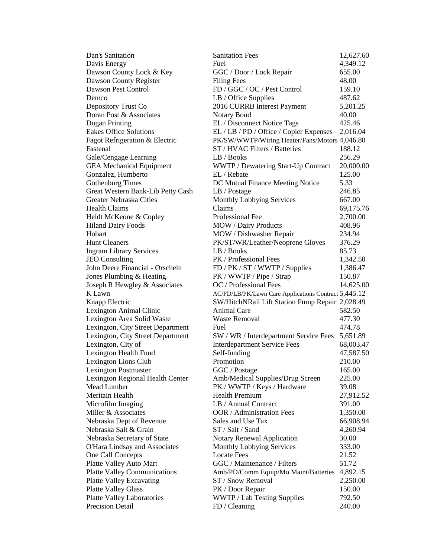| Dan's Sanitation                    | <b>Sanitation Fees</b>                               | 12,627.60 |
|-------------------------------------|------------------------------------------------------|-----------|
| Davis Energy                        | Fuel                                                 | 4,349.12  |
| Dawson County Lock & Key            | GGC / Door / Lock Repair                             | 655.00    |
| Dawson County Register              | <b>Filing Fees</b>                                   | 48.00     |
| Dawson Pest Control                 | FD / GGC / OC / Pest Control                         | 159.10    |
| Demco                               | LB / Office Supplies                                 | 487.62    |
| Depository Trust Co                 | 2016 CURRB Interest Payment                          | 5,201.25  |
| Doran Post & Associates             | <b>Notary Bond</b>                                   | 40.00     |
| <b>Dugan Printing</b>               | EL / Disconnect Notice Tags                          | 425.46    |
| <b>Eakes Office Solutions</b>       | EL / LB / PD / Office / Copier Expenses              | 2,016.04  |
| Fagot Refrigeration & Electric      | PK/SW/WWTP/Wiring Heater/Fans/Motors 4,046.80        |           |
| Fastenal                            | ST / HVAC Filters / Batteries                        | 188.12    |
| Gale/Cengage Learning               | LB / Books                                           | 256.29    |
| <b>GEA</b> Mechanical Equipment     | WWTP / Dewatering Start-Up Contract                  | 20,000.00 |
| Gonzalez, Humberto                  | EL / Rebate                                          | 125.00    |
| <b>Gothenburg Times</b>             | DC Mutual Finance Meeting Notice                     | 5.33      |
| Great Western Bank-Lib Petty Cash   | LB / Postage                                         | 246.85    |
| Greater Nebraska Cities             | Monthly Lobbying Services                            | 667.00    |
| <b>Health Claims</b>                | Claims                                               | 69,175.76 |
| Heldt McKeone & Copley              | Professional Fee                                     | 2,700.00  |
| <b>Hiland Dairy Foods</b>           | MOW / Dairy Products                                 | 408.96    |
| Hobart                              | MOW / Dishwasher Repair                              | 234.94    |
| <b>Hunt Cleaners</b>                | PK/ST/WR/Leather/Neoprene Gloves                     | 376.29    |
| <b>Ingram Library Services</b>      | LB / Books                                           | 85.73     |
| <b>JEO</b> Consulting               | PK / Professional Fees                               | 1,342.50  |
| John Deere Financial - Orscheln     | FD / PK / ST / WWTP / Supplies                       | 1,386.47  |
| Jones Plumbing & Heating            | PK / WWTP / Pipe / Strap                             | 150.87    |
| Joseph R Hewgley & Associates       | OC / Professional Fees                               | 14,625.00 |
| K Lawn                              | AC/FD/LB/PK/Lawn Care Applications Contract 5,445.12 |           |
| Knapp Electric                      | SW/HitchNRail Lift Station Pump Repair 2,028.49      |           |
| Lexington Animal Clinic             | <b>Animal Care</b>                                   | 582.50    |
| Lexington Area Solid Waste          | <b>Waste Removal</b>                                 | 477.30    |
| Lexington, City Street Department   | Fuel                                                 | 474.78    |
| Lexington, City Street Department   | SW / WR / Interdepartment Service Fees               | 5,651.89  |
| Lexington, City of                  | <b>Interdepartment Service Fees</b>                  | 68,003.47 |
| Lexington Health Fund               | Self-funding                                         | 47,587.50 |
| Lexington Lions Club                | Promotion                                            | 210.00    |
| <b>Lexington Postmaster</b>         | GGC / Postage                                        | 165.00    |
| Lexington Regional Health Center    | Amb/Medical Supplies/Drug Screen                     | 225.00    |
| Mead Lumber                         | PK / WWTP / Keys / Hardware                          | 39.08     |
| Meritain Health                     | <b>Health Premium</b>                                | 27,912.52 |
| Microfilm Imaging                   | LB / Annual Contract                                 | 391.00    |
| Miller & Associates                 | <b>OOR / Administration Fees</b>                     | 1,350.00  |
| Nebraska Dept of Revenue            | Sales and Use Tax                                    | 66,908.94 |
| Nebraska Salt & Grain               | ST / Salt / Sand                                     | 4,260.94  |
| Nebraska Secretary of State         | <b>Notary Renewal Application</b>                    | 30.00     |
| O'Hara Lindsay and Associates       | <b>Monthly Lobbying Services</b>                     | 333.00    |
| One Call Concepts                   | <b>Locate Fees</b>                                   | 21.52     |
| Platte Valley Auto Mart             | GGC / Maintenance / Filters                          | 51.72     |
| <b>Platte Valley Communications</b> | Amb/PD/Comm Equip/Mo Maint/Batteries                 | 4,892.15  |
| <b>Platte Valley Excavating</b>     | ST / Snow Removal                                    | 2,250.00  |
| <b>Platte Valley Glass</b>          | PK / Door Repair                                     | 150.00    |
| <b>Platte Valley Laboratories</b>   | WWTP / Lab Testing Supplies                          | 792.50    |
| Precision Detail                    | FD / Cleaning                                        | 240.00    |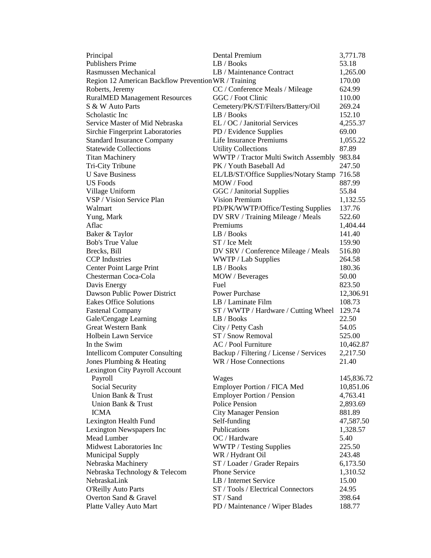| Principal                                            | Dental Premium                               | 3,771.78   |
|------------------------------------------------------|----------------------------------------------|------------|
| <b>Publishers Prime</b>                              | LB / Books                                   | 53.18      |
| <b>Rasmussen Mechanical</b>                          | LB / Maintenance Contract                    | 1,265.00   |
| Region 12 American Backflow Prevention WR / Training |                                              | 170.00     |
| Roberts, Jeremy                                      | CC / Conference Meals / Mileage              | 624.99     |
| <b>RuralMED Management Resources</b>                 | GGC / Foot Clinic                            | 110.00     |
| S & W Auto Parts                                     | Cemetery/PK/ST/Filters/Battery/Oil           | 269.24     |
| Scholastic Inc                                       | LB / Books                                   | 152.10     |
| Service Master of Mid Nebraska                       | EL / OC / Janitorial Services                | 4,255.37   |
| Sirchie Fingerprint Laboratories                     | PD / Evidence Supplies                       | 69.00      |
| <b>Standard Insurance Company</b>                    | Life Insurance Premiums                      | 1,055.22   |
| <b>Statewide Collections</b>                         | <b>Utility Collections</b>                   | 87.89      |
| <b>Titan Machinery</b>                               | WWTP / Tractor Multi Switch Assembly 983.84  |            |
| Tri-City Tribune                                     | PK / Youth Baseball Ad                       | 247.50     |
| <b>U</b> Save Business                               | EL/LB/ST/Office Supplies/Notary Stamp 716.58 |            |
| <b>US Foods</b>                                      | MOW / Food                                   | 887.99     |
| Village Uniform                                      | GGC / Janitorial Supplies                    | 55.84      |
| VSP / Vision Service Plan                            | <b>Vision Premium</b>                        | 1,132.55   |
| Walmart                                              | PD/PK/WWTP/Office/Testing Supplies           | 137.76     |
| Yung, Mark                                           | DV SRV / Training Mileage / Meals            | 522.60     |
| Aflac                                                | Premiums                                     | 1,404.44   |
| Baker & Taylor                                       | LB / Books                                   | 141.40     |
| <b>Bob's True Value</b>                              | ST / Ice Melt                                | 159.90     |
| Brecks, Bill                                         | DV SRV / Conference Mileage / Meals          | 516.80     |
| <b>CCP</b> Industries                                | WWTP / Lab Supplies                          | 264.58     |
| Center Point Large Print                             | LB / Books                                   | 180.36     |
| Chesterman Coca-Cola                                 | MOW / Beverages                              | 50.00      |
| Davis Energy                                         | Fuel                                         | 823.50     |
| Dawson Public Power District                         | <b>Power Purchase</b>                        | 12,306.91  |
| <b>Eakes Office Solutions</b>                        | LB / Laminate Film                           | 108.73     |
| <b>Fastenal Company</b>                              | ST / WWTP / Hardware / Cutting Wheel         | 129.74     |
| Gale/Cengage Learning                                | LB / Books                                   | 22.50      |
| <b>Great Western Bank</b>                            | City / Petty Cash                            | 54.05      |
| <b>Holbein Lawn Service</b>                          | ST / Snow Removal                            | 525.00     |
| In the Swim                                          | AC / Pool Furniture                          | 10,462.87  |
| <b>Intellicom Computer Consulting</b>                | Backup / Filtering / License / Services      | 2,217.50   |
| Jones Plumbing & Heating                             | WR / Hose Connections                        | 21.40      |
| Lexington City Payroll Account                       |                                              |            |
| Payroll                                              | Wages                                        | 145,836.72 |
| Social Security                                      | Employer Portion / FICA Med                  | 10,851.06  |
| Union Bank & Trust                                   | Employer Portion / Pension                   | 4,763.41   |
| Union Bank & Trust                                   | <b>Police Pension</b>                        | 2,893.69   |
| <b>ICMA</b>                                          | <b>City Manager Pension</b>                  | 881.89     |
| Lexington Health Fund                                | Self-funding                                 | 47,587.50  |
| Lexington Newspapers Inc                             | Publications                                 | 1,328.57   |
| Mead Lumber                                          | OC / Hardware                                | 5.40       |
| Midwest Laboratories Inc                             | <b>WWTP</b> / Testing Supplies               | 225.50     |
| <b>Municipal Supply</b>                              | WR / Hydrant Oil                             | 243.48     |
| Nebraska Machinery                                   | ST / Loader / Grader Repairs                 | 6,173.50   |
| Nebraska Technology & Telecom                        | Phone Service                                | 1,310.52   |
| NebraskaLink                                         | LB / Internet Service                        | 15.00      |
| <b>O'Reilly Auto Parts</b>                           | ST / Tools / Electrical Connectors           | 24.95      |
| Overton Sand & Gravel                                | ST / Sand                                    | 398.64     |
| Platte Valley Auto Mart                              | PD / Maintenance / Wiper Blades              | 188.77     |